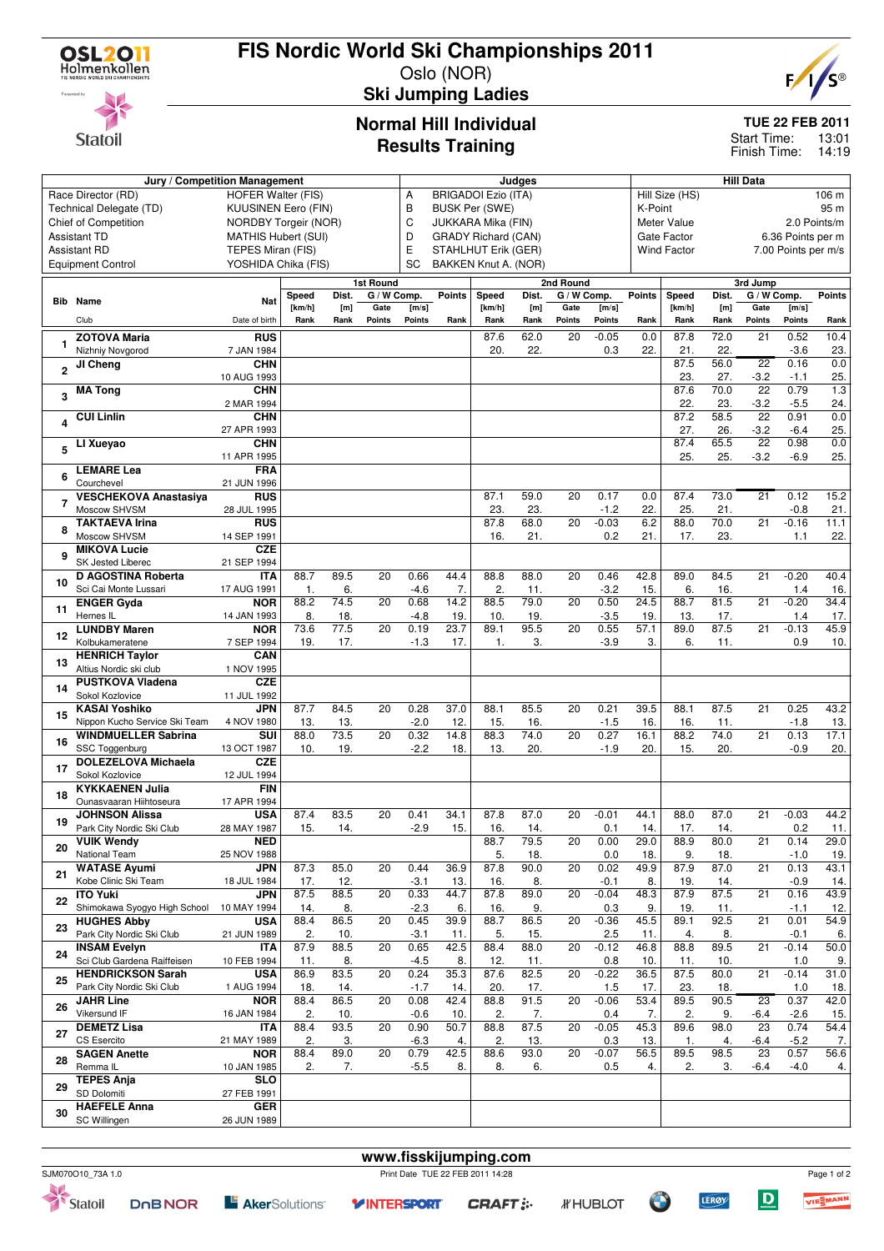

Statoil

## **FIS Nordic World Ski Championships 2011**

Oslo (NOR)



**Ski Jumping Ladies**

### **Normal Hill Individual Results Training**

#### **TUE 22 FEB 2011**

13:01 Finish Time: 14:19 Start Time:

|                                              |                                                             |                            |                |                                                         |                 |                |               |                            |             |                          |                   |                                           |                             |             | <b>Hill Data</b>          |                   |               |  |  |
|----------------------------------------------|-------------------------------------------------------------|----------------------------|----------------|---------------------------------------------------------|-----------------|----------------|---------------|----------------------------|-------------|--------------------------|-------------------|-------------------------------------------|-----------------------------|-------------|---------------------------|-------------------|---------------|--|--|
|                                              | Jury / Competition Management<br>Race Director (RD)         | <b>HOFER Walter (FIS)</b>  |                |                                                         |                 | А              |               | <b>BRIGADOI Ezio (ITA)</b> | Judges      |                          |                   |                                           | Hill Size (HS)              |             |                           |                   | 106 m         |  |  |
|                                              | Technical Delegate (TD)                                     | <b>KUUSINEN Eero (FIN)</b> |                |                                                         |                 | В              |               |                            |             |                          |                   | K-Point                                   |                             |             |                           |                   | 95 m          |  |  |
| Chief of Competition<br>NORDBY Torgeir (NOR) |                                                             |                            |                | <b>BUSK Per (SWE)</b><br>C<br><b>JUKKARA Mika (FIN)</b> |                 |                |               |                            |             |                          |                   |                                           | Meter Value<br>2.0 Points/m |             |                           |                   |               |  |  |
|                                              | <b>Assistant TD</b>                                         | <b>MATHIS Hubert (SUI)</b> |                |                                                         |                 | D              |               | <b>GRADY Richard (CAN)</b> |             |                          |                   | Gate Factor                               |                             |             |                           | 6.36 Points per m |               |  |  |
| TEPES Miran (FIS)<br><b>Assistant RD</b>     |                                                             |                            |                |                                                         |                 | Ε              |               | STAHLHUT Erik (GER)        |             |                          |                   | <b>Wind Factor</b><br>7.00 Points per m/s |                             |             |                           |                   |               |  |  |
|                                              | <b>Equipment Control</b>                                    | YOSHIDA Chika (FIS)        |                |                                                         |                 | SC             |               | BAKKEN Knut A. (NOR)       |             |                          |                   |                                           |                             |             |                           |                   |               |  |  |
|                                              |                                                             |                            |                |                                                         | 1st Round       |                |               |                            |             | 2nd Round                |                   |                                           |                             |             | 3rd Jump                  |                   |               |  |  |
|                                              |                                                             |                            | Speed          | Dist.                                                   | G / W Comp.     |                | <b>Points</b> | Speed                      | Dist.       | $\overline{G}$ / W Comp. |                   | <b>Points</b>                             | Speed                       | Dist.       | G / W Comp.               |                   | <b>Points</b> |  |  |
|                                              | <b>Bib</b> Name                                             | Nat                        | [km/h]         | [m]                                                     | Gate            | [m/s]          |               | [km/h]                     | [m]         | Gate                     | [m/s]             |                                           | [km/h]                      | [m]         | Gate                      | [m/s]             |               |  |  |
|                                              | Club                                                        | Date of birth              | Rank           | Rank                                                    | Points          | Points         | Rank          | Rank                       | Rank        | Points                   | Points            | Rank                                      | Rank                        | Rank        | Points                    | Points            | Rank          |  |  |
|                                              | <b>ZOTOVA Maria</b>                                         | <b>RUS</b>                 |                |                                                         |                 |                |               | 87.6                       | 62.0        | 20                       | $-0.05$           | 0.0                                       | 87.8                        | 72.0        | 21                        | 0.52              | 10.4          |  |  |
| 1                                            | Nizhniy Novgorod                                            | 7 JAN 1984                 |                |                                                         |                 |                |               | 20.                        | 22.         |                          | 0.3               | 22.                                       | 21.                         | 22.         |                           | $-3.6$            | 23.           |  |  |
| $\overline{2}$                               | JI Cheng                                                    | <b>CHN</b>                 |                |                                                         |                 |                |               |                            |             |                          |                   |                                           | 87.5                        | 56.0        | $\overline{22}$           | 0.16              | 0.0           |  |  |
|                                              |                                                             | 10 AUG 1993                |                |                                                         |                 |                |               |                            |             |                          |                   |                                           | 23.                         | 27.         | $-3.2$                    | $-1.1$            | 25.           |  |  |
| 3                                            | <b>MA Tong</b>                                              | <b>CHN</b>                 |                |                                                         |                 |                |               |                            |             |                          |                   |                                           | 87.6<br>22.                 | 70.0<br>23. | $\overline{22}$<br>$-3.2$ | 0.79<br>$-5.5$    | 1.3           |  |  |
|                                              | <b>CUI Linlin</b>                                           | 2 MAR 1994<br><b>CHN</b>   |                |                                                         |                 |                |               |                            |             |                          |                   |                                           | 87.2                        | 58.5        | 22                        | 0.91              | 24.<br>0.0    |  |  |
|                                              |                                                             | 27 APR 1993                |                |                                                         |                 |                |               |                            |             |                          |                   |                                           | 27.                         | 26.         | $-3.2$                    | $-6.4$            | 25.           |  |  |
|                                              | LI Xueyao                                                   | <b>CHN</b>                 |                |                                                         |                 |                |               |                            |             |                          |                   |                                           | 87.4                        | 65.5        | $\overline{22}$           | 0.98              | 0.0           |  |  |
| 5                                            |                                                             | 11 APR 1995                |                |                                                         |                 |                |               |                            |             |                          |                   |                                           | 25.                         | 25.         | $-3.2$                    | $-6.9$            | 25.           |  |  |
| 6                                            | <b>LEMARE Lea</b>                                           | <b>FRA</b>                 |                |                                                         |                 |                |               |                            |             |                          |                   |                                           |                             |             |                           |                   |               |  |  |
|                                              | Courchevel                                                  | 21 JUN 1996                |                |                                                         |                 |                |               |                            |             |                          |                   |                                           |                             |             |                           |                   |               |  |  |
| 7                                            | <b>VESCHEKOVA Anastasiya</b>                                | <b>RUS</b>                 |                |                                                         |                 |                |               | 87.1                       | 59.0        | 20                       | 0.17              | 0.0                                       | 87.4                        | 73.0        | $\overline{21}$           | 0.12              | 15.2          |  |  |
|                                              | Moscow SHVSM<br>TAKTAEVA Irina                              | 28 JUL 1995<br><b>RUS</b>  |                |                                                         |                 |                |               | 23.<br>87.8                | 23.<br>68.0 | 20                       | $-1.2$<br>$-0.03$ | 22.<br>6.2                                | 25.<br>88.0                 | 21.<br>70.0 | 21                        | $-0.8$<br>$-0.16$ | 21.<br>11.1   |  |  |
| 8                                            | Moscow SHVSM                                                | 14 SEP 1991                |                |                                                         |                 |                |               | 16.                        | 21.         |                          | 0.2               | 21.                                       | 17.                         | 23.         |                           | 1.1               | 22.           |  |  |
|                                              | <b>MIKOVA Lucie</b>                                         | <b>CZE</b>                 |                |                                                         |                 |                |               |                            |             |                          |                   |                                           |                             |             |                           |                   |               |  |  |
| 9                                            | SK Jested Liberec                                           | 21 SEP 1994                |                |                                                         |                 |                |               |                            |             |                          |                   |                                           |                             |             |                           |                   |               |  |  |
| 10                                           | D AGOSTINA Roberta                                          | <b>ITA</b>                 | 88.7           | 89.5                                                    | 20              | 0.66           | 44.4          | 88.8                       | 88.0        | 20                       | 0.46              | 42.8                                      | 89.0                        | 84.5        | 21                        | $-0.20$           | 40.4          |  |  |
|                                              | Sci Cai Monte Lussari                                       | 17 AUG 1991                | $\mathbf{1}$ . | 6.                                                      |                 | $-4.6$         | 7.            | 2.                         | 11.         |                          | $-3.2$            | 15.                                       | 6.                          | 16.         |                           | 1.4               | 16.           |  |  |
| 11                                           | <b>ENGER Gyda</b>                                           | <b>NOR</b>                 | 88.2           | 74.5                                                    | 20              | 0.68           | 14.2          | 88.5                       | 79.0        | 20                       | 0.50              | 24.5                                      | 88.7                        | 81.5        | $\overline{21}$           | $-0.20$           | 34.4          |  |  |
|                                              | Hernes IL<br><b>LUNDBY Maren</b>                            | 14 JAN 1993<br><b>NOR</b>  | 8.<br>73.6     | 18.<br>77.5                                             | 20              | $-4.8$<br>0.19 | 19.<br>23.7   | 10.<br>89.1                | 19.<br>95.5 | 20                       | $-3.5$<br>0.55    | 19.<br>57.1                               | 13.<br>89.0                 | 17.<br>87.5 | $\overline{21}$           | 1.4<br>$-0.13$    | 17.<br>45.9   |  |  |
| 12                                           | Kolbukameratene                                             | 7 SEP 1994                 | 19.            | 17.                                                     |                 | $-1.3$         | 17.           | 1.                         | 3.          |                          | $-3.9$            | 3.                                        | 6.                          | 11.         |                           | 0.9               | 10.           |  |  |
|                                              | <b>HENRICH Taylor</b>                                       | CAN                        |                |                                                         |                 |                |               |                            |             |                          |                   |                                           |                             |             |                           |                   |               |  |  |
| 13                                           | Altius Nordic ski club                                      | 1 NOV 1995                 |                |                                                         |                 |                |               |                            |             |                          |                   |                                           |                             |             |                           |                   |               |  |  |
| 14                                           | <b>PUSTKOVA Vladena</b>                                     | <b>CZE</b>                 |                |                                                         |                 |                |               |                            |             |                          |                   |                                           |                             |             |                           |                   |               |  |  |
|                                              | Sokol Kozlovice                                             | 11 JUL 1992                |                |                                                         |                 |                |               |                            |             |                          |                   |                                           |                             |             |                           |                   |               |  |  |
| 15                                           | <b>KASAI Yoshiko</b>                                        | <b>JPN</b>                 | 87.7           | 84.5                                                    | 20              | 0.28           | 37.0          | 88.1                       | 85.5        | 20                       | 0.21              | 39.5                                      | 88.1                        | 87.5        | 21                        | 0.25              | 43.2          |  |  |
|                                              | Nippon Kucho Service Ski Team<br><b>WINDMUELLER Sabrina</b> | 4 NOV 1980<br>SUI          | 13.<br>88.0    | 13.<br>73.5                                             | 20              | $-2.0$<br>0.32 | 12.<br>14.8   | 15.<br>88.3                | 16.<br>74.0 | 20                       | $-1.5$<br>0.27    | 16.<br>16.1                               | 16.<br>88.2                 | 11.<br>74.0 | 21                        | $-1.8$<br>0.13    | 13.<br>17.1   |  |  |
| 16                                           | SSC Toggenburg                                              | 13 OCT 1987                | 10.            | 19.                                                     |                 | $-2.2$         | 18.           | 13.                        | 20.         |                          | $-1.9$            | 20.                                       | 15.                         | 20.         |                           | $-0.9$            | 20.           |  |  |
|                                              | <b>DOLEZELOVA Michaela</b>                                  | <b>CZE</b>                 |                |                                                         |                 |                |               |                            |             |                          |                   |                                           |                             |             |                           |                   |               |  |  |
| 17                                           | Sokol Kozlovice                                             | 12 JUL 1994                |                |                                                         |                 |                |               |                            |             |                          |                   |                                           |                             |             |                           |                   |               |  |  |
| 18                                           | <b>KYKKAENEN Julia</b>                                      | <b>FIN</b>                 |                |                                                         |                 |                |               |                            |             |                          |                   |                                           |                             |             |                           |                   |               |  |  |
|                                              | Ounasvaaran Hiihtoseura                                     | 17 APR 1994                |                |                                                         |                 |                |               |                            |             |                          |                   |                                           |                             |             |                           |                   |               |  |  |
| 19                                           | <b>JOHNSON Alissa</b><br>Park City Nordic Ski Club          | <b>USA</b><br>28 MAY 1987  | 87.4<br>15.    | 83.5<br>14.                                             | 20              | 0.41<br>$-2.9$ | 34.1<br>15.   | 87.8<br>16.                | 87.0<br>14. | 20                       | $-0.01$<br>0.1    | 44.1<br>14.                               | 88.0<br>17.                 | 87.0<br>14. | 21                        | $-0.03$<br>0.2    | 44.2<br>11.   |  |  |
|                                              | <b>VUIK Wendy</b>                                           | <b>NED</b>                 |                |                                                         |                 |                |               | 88.7                       | 79.5        | 20                       | 0.00              | 29.0                                      | 88.9                        | 80.0        | 21                        | 0.14              | 29.0          |  |  |
| 20                                           | National Team                                               | 25 NOV 1988                |                |                                                         |                 |                |               | 5.                         | 18.         |                          | 0.0               | 18.                                       | 9.                          | 18.         |                           | $-1.0$            | 19.           |  |  |
| 21                                           | <b>WATASE Ayumi</b>                                         | <b>JPN</b>                 | 87.3           | 85.0                                                    | 20              | 0.44           | 36.9          | 87.8                       | 90.0        | 20                       | 0.02              | 49.9                                      | 87.9                        | 87.0        | 21                        | 0.13              | 43.1          |  |  |
|                                              | Kobe Clinic Ski Team                                        | 18 JUL 1984                | 17.            | 12.                                                     |                 | $-3.1$         | 13.           | 16.                        | 8.          |                          | $-0.1$            | 8.                                        | 19.                         | 14.         |                           | $-0.9$            | 14.           |  |  |
| 22                                           | <b>ITO Yuki</b>                                             | <b>JPN</b>                 | 87.5           | 88.5                                                    | $\overline{20}$ | 0.33           | 44.7          | 87.8                       | 89.0        | 20                       | $-0.04$           | 48.3                                      | 87.9                        | 87.5        | 21                        | 0.16              | 43.9          |  |  |
|                                              | Shimokawa Syogyo High School<br><b>HUGHES Abby</b>          | 10 MAY 1994<br><b>USA</b>  | 14.<br>88.4    | 8.<br>86.5                                              | 20              | $-2.3$<br>0.45 | 6.<br>39.9    | 16.<br>88.7                | 9.<br>86.5  | 20                       | 0.3<br>$-0.36$    | 9.<br>45.5                                | 19.<br>89.1                 | 11.<br>92.5 | 21                        | $-1.1$<br>0.01    | 12.<br>54.9   |  |  |
| 23                                           | Park City Nordic Ski Club                                   | 21 JUN 1989                | 2.             | 10.                                                     |                 | $-3.1$         | 11.           | 5.                         | 15.         |                          | 2.5               | 11.                                       | 4.                          | 8.          |                           | $-0.1$            | 6.            |  |  |
|                                              | <b>INSAM Evelyn</b>                                         | <b>ITA</b>                 | 87.9           | 88.5                                                    | 20              | 0.65           | 42.5          | 88.4                       | 88.0        | 20                       | $-0.12$           | 46.8                                      | 88.8                        | 89.5        | 21                        | $-0.14$           | 50.0          |  |  |
| 24                                           | Sci Club Gardena Raiffeisen                                 | 10 FEB 1994                | 11.            | 8.                                                      |                 | $-4.5$         | 8.            | 12.                        | 11.         |                          | 0.8               | 10.                                       | 11.                         | 10.         |                           | 1.0               | 9.            |  |  |
| 25                                           | <b>HENDRICKSON Sarah</b>                                    | <b>USA</b>                 | 86.9           | 83.5                                                    | 20              | 0.24           | 35.3          | 87.6                       | 82.5        | 20                       | $-0.22$           | 36.5                                      | 87.5                        | 80.0        | 21                        | $-0.14$           | 31.0          |  |  |
|                                              | Park City Nordic Ski Club                                   | 1 AUG 1994                 | 18.            | 14.                                                     |                 | $-1.7$         | 14.           | 20.                        | 17.         |                          | 1.5               | 17.                                       | 23.                         | 18.         |                           | 1.0               | 18.           |  |  |
| 26                                           | <b>JAHR Line</b>                                            | <b>NOR</b>                 | 88.4           | 86.5                                                    | 20              | 0.08           | 42.4          | 88.8                       | 91.5        | 20                       | $-0.06$           | 53.4                                      | 89.5                        | 90.5        | 23                        | 0.37              | 42.0          |  |  |
|                                              | Vikersund IF<br><b>DEMETZ Lisa</b>                          | 16 JAN 1984<br><b>ITA</b>  | 2.<br>88.4     | 10.<br>93.5                                             | 20              | $-0.6$<br>0.90 | 10.<br>50.7   | 2.<br>88.8                 | 7.<br>87.5  | 20                       | 0.4<br>$-0.05$    | 7.<br>45.3                                | 2.<br>89.6                  | 9.<br>98.0  | -6.4<br>23                | $-2.6$<br>0.74    | 15.<br>54.4   |  |  |
| 27                                           | CS Esercito                                                 | 21 MAY 1989                | 2.             | 3.                                                      |                 | $-6.3$         | 4.            | 2.                         | 13.         |                          | 0.3               | 13.                                       | 1.                          | 4.          | -6.4                      | $-5.2$            | 7.            |  |  |
|                                              | <b>SAGEN Anette</b>                                         | <b>NOR</b>                 | 88.4           | 89.0                                                    | $\overline{20}$ | 0.79           | 42.5          | 88.6                       | 93.0        | 20                       | $-0.07$           | 56.5                                      | 89.5                        | 98.5        | 23                        | 0.57              | 56.6          |  |  |
| 28                                           | Remma <sub>IL</sub>                                         | 10 JAN 1985                | 2.             | 7.                                                      |                 | $-5.5$         | 8.            | 8.                         | 6.          |                          | 0.5               | 4.                                        | 2.                          | 3.          | -6.4                      | $-4.0$            | 4.            |  |  |
| 29                                           | <b>TEPES Anja</b>                                           | <b>SLO</b>                 |                |                                                         |                 |                |               |                            |             |                          |                   |                                           |                             |             |                           |                   |               |  |  |
|                                              | SD Dolomiti<br><b>HAEFELE Anna</b>                          | 27 FEB 1991<br><b>GER</b>  |                |                                                         |                 |                |               |                            |             |                          |                   |                                           |                             |             |                           |                   |               |  |  |
| 30                                           | SC Willingen                                                | 26 JUN 1989                |                |                                                         |                 |                |               |                            |             |                          |                   |                                           |                             |             |                           |                   |               |  |  |
|                                              |                                                             |                            |                |                                                         |                 |                |               |                            |             |                          |                   |                                           |                             |             |                           |                   |               |  |  |





 $|D|$